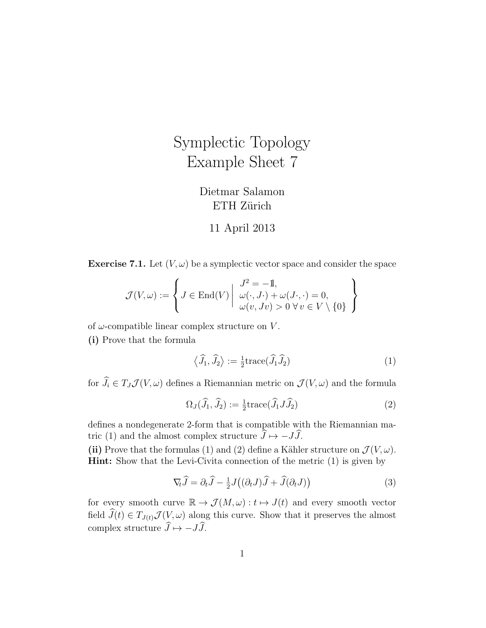## Symplectic Topology Example Sheet 7

## Dietmar Salamon ETH Zürich

## 11 April 2013

**Exercise 7.1.** Let  $(V, \omega)$  be a symplectic vector space and consider the space

$$
\mathcal{J}(V,\omega) := \left\{ J \in \text{End}(V) \middle| \begin{array}{l} J^2 = -\mathbb{1}, \\ \omega(\cdot, J \cdot) + \omega(J \cdot, \cdot) = 0, \\ \omega(v, Jv) > 0 \ \forall \, v \in V \setminus \{0\} \end{array} \right\}
$$

of  $\omega$ -compatible linear complex structure on V.

(i) Prove that the formula

$$
\langle \hat{J}_1, \hat{J}_2 \rangle := \frac{1}{2} \text{trace}(\hat{J}_1 \hat{J}_2)
$$
 (1)

for  $\widehat{J}_i \in T_J \mathcal{J}(V, \omega)$  defines a Riemannian metric on  $\mathcal{J}(V, \omega)$  and the formula

$$
\Omega_J(\widehat{J}_1, \widehat{J}_2) := \frac{1}{2} \text{trace}(\widehat{J}_1 J \widehat{J}_2)
$$
\n(2)

defines a nondegenerate 2-form that is compatible with the Riemannian matric (1) and the almost complex structure  $\hat{J} \mapsto -J\hat{J}$ .

(ii) Prove that the formulas (1) and (2) define a Kähler structure on  $\mathcal{J}(V, \omega)$ . Hint: Show that the Levi-Civita connection of the metric (1) is given by

$$
\nabla_t \hat{J} = \partial_t \hat{J} - \frac{1}{2} J((\partial_t J)\hat{J} + \hat{J}(\partial_t J))
$$
\n(3)

for every smooth curve  $\mathbb{R} \to \mathcal{J}(M,\omega): t \mapsto J(t)$  and every smooth vector field  $\widehat{J}(t) \in T_{J(t)}\mathcal{J}(V,\omega)$  along this curve. Show that it preserves the almost complex structure  $\widehat{J} \mapsto -J\widehat{J}$ .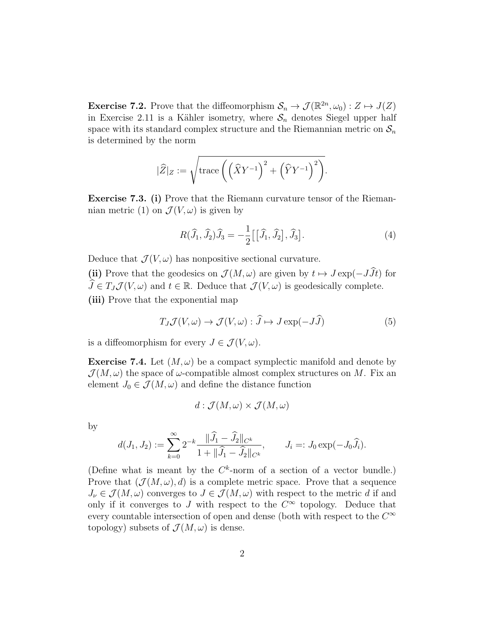**Exercise 7.2.** Prove that the diffeomorphism  $\mathcal{S}_n \to \mathcal{J}(\mathbb{R}^{2n}, \omega_0) : Z \mapsto J(Z)$ in Exercise 2.11 is a Kähler isometry, where  $S_n$  denotes Siegel upper half space with its standard complex structure and the Riemannian metric on  $S_n$ is determined by the norm

$$
|\widehat{Z}|_Z:=\sqrt{{\rm trace}\left(\left(\widehat{X}Y^{-1}\right)^2+\left(\widehat{Y}Y^{-1}\right)^2\right)}.
$$

Exercise 7.3. (i) Prove that the Riemann curvature tensor of the Riemannian metric (1) on  $\mathcal{J}(V, \omega)$  is given by

$$
R(\widehat{J}_1, \widehat{J}_2)\widehat{J}_3 = -\frac{1}{2}\big[\big[\widehat{J}_1, \widehat{J}_2\big], \widehat{J}_3\big].\tag{4}
$$

Deduce that  $\mathcal{J}(V, \omega)$  has nonpositive sectional curvature.

(ii) Prove that the geodesics on  $\mathcal{J}(M,\omega)$  are given by  $t \mapsto J \exp(-J\widehat{J}t)$  for  $\widehat{J} \in T_J \mathcal{J}(V, \omega)$  and  $t \in \mathbb{R}$ . Deduce that  $\mathcal{J}(V, \omega)$  is geodesically complete. (iii) Prove that the exponential map

$$
T_J \mathcal{J}(V, \omega) \to \mathcal{J}(V, \omega) : \widehat{J} \mapsto J \exp(-J\widehat{J})
$$
\n<sup>(5)</sup>

is a diffeomorphism for every  $J \in \mathcal{J}(V, \omega)$ .

**Exercise 7.4.** Let  $(M, \omega)$  be a compact symplectic manifold and denote by  $\mathcal{J}(M,\omega)$  the space of  $\omega$ -compatible almost complex structures on M. Fix an element  $J_0 \in \mathcal{J}(M,\omega)$  and define the distance function

$$
d: \mathcal{J}(M,\omega) \times \mathcal{J}(M,\omega)
$$

by

$$
d(J_1,J_2):=\sum_{k=0}^\infty 2^{-k}\frac{\|\widehat{J}_1-\widehat{J}_2\|_{C^k}}{1+\|\widehat{J}_1-\widehat{J}_2\|_{C^k}},\qquad J_i=:J_0\exp(-J_0\widehat{J}_i).
$$

(Define what is meant by the  $C^k$ -norm of a section of a vector bundle.) Prove that  $(\mathcal{J}(M,\omega), d)$  is a complete metric space. Prove that a sequence  $J_{\nu} \in \mathcal{J}(M, \omega)$  converges to  $J \in \mathcal{J}(M, \omega)$  with respect to the metric d if and only if it converges to J with respect to the  $C^{\infty}$  topology. Deduce that every countable intersection of open and dense (both with respect to the  $C^{\infty}$ topology) subsets of  $\mathcal{J}(M,\omega)$  is dense.